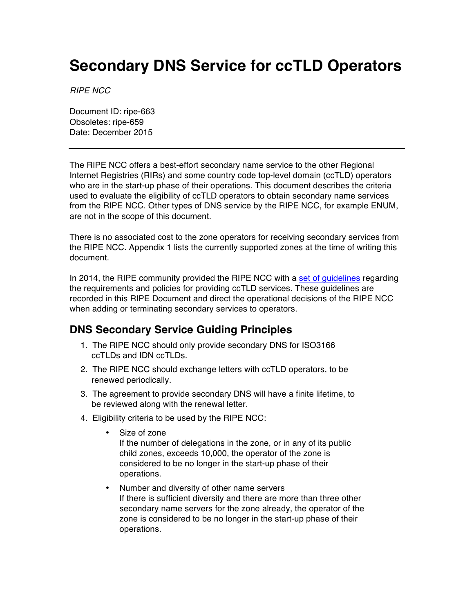## **Secondary DNS Service for ccTLD Operators**

*RIPE NCC*

Document ID: ripe-663 Obsoletes: ripe-659 Date: December 2015

The RIPE NCC offers a best-effort secondary name service to the other Regional Internet Registries (RIRs) and some country code top-level domain (ccTLD) operators who are in the start-up phase of their operations. This document describes the criteria used to evaluate the eligibility of ccTLD operators to obtain secondary name services from the RIPE NCC. Other types of DNS service by the RIPE NCC, for example ENUM, are not in the scope of this document.

There is no associated cost to the zone operators for receiving secondary services from the RIPE NCC. Appendix 1 lists the currently supported zones at the time of writing this document.

In 2014, the RIPE community provided the RIPE NCC with a [set of guidelines](https://ripe68.ripe.net/presentations/298-Koch-Action-67-1.pdf) regarding the requirements and policies for providing ccTLD services. These guidelines are recorded in this RIPE Document and direct the operational decisions of the RIPE NCC when adding or terminating secondary services to operators.

## **DNS Secondary Service Guiding Principles**

- 1. The RIPE NCC should only provide secondary DNS for ISO3166 ccTLDs and IDN ccTLDs.
- 2. The RIPE NCC should exchange letters with ccTLD operators, to be renewed periodically.
- 3. The agreement to provide secondary DNS will have a finite lifetime, to be reviewed along with the renewal letter.
- 4. Eligibility criteria to be used by the RIPE NCC:
	- Size of zone If the number of delegations in the zone, or in any of its public child zones, exceeds 10,000, the operator of the zone is considered to be no longer in the start-up phase of their operations.
	- Number and diversity of other name servers If there is sufficient diversity and there are more than three other secondary name servers for the zone already, the operator of the zone is considered to be no longer in the start-up phase of their operations.